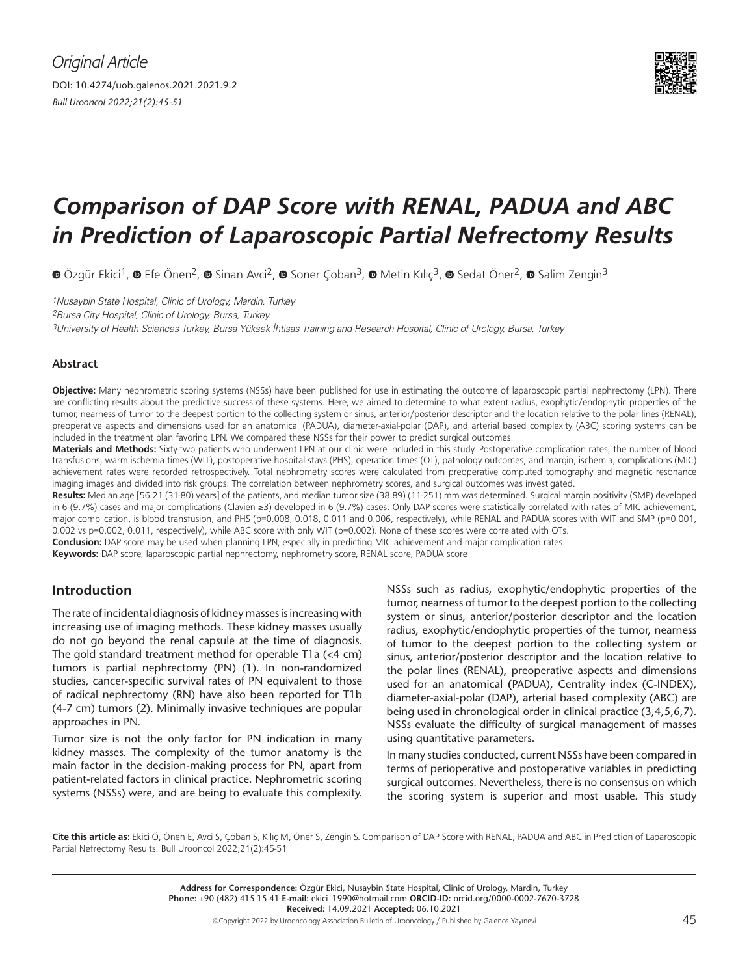

# *Comparison of DAP Score with RENAL, PADUA and ABC in Prediction of Laparoscopic Partial Nefrectomy Results*

 $\bullet$ Özgür Ekici<sup>1</sup>,  $\bullet$  Efe Önen<sup>2</sup>,  $\bullet$  Sinan Avci<sup>2</sup>,  $\bullet$  Soner Coban<sup>3</sup>,  $\bullet$  Metin Kılıc<sup>3</sup>,  $\bullet$  Sedat Öner<sup>2</sup>,  $\bullet$  Salim Zengin<sup>3</sup>

1Nusaybin State Hospital, Clinic of Urology, Mardin, Turkey

2Bursa City Hospital, Clinic of Urology, Bursa, Turkey

3University of Health Sciences Turkey, Bursa Yüksek İhtisas Training and Research Hospital, Clinic of Urology, Bursa, Turkey

#### **Abstract**

**Objective:** Many nephrometric scoring systems (NSSs) have been published for use in estimating the outcome of laparoscopic partial nephrectomy (LPN). There are conflicting results about the predictive success of these systems. Here, we aimed to determine to what extent radius, exophytic/endophytic properties of the tumor, nearness of tumor to the deepest portion to the collecting system or sinus, anterior/posterior descriptor and the location relative to the polar lines (RENAL), preoperative aspects and dimensions used for an anatomical (PADUA), diameter-axial-polar (DAP), and arterial based complexity (ABC) scoring systems can be included in the treatment plan favoring LPN. We compared these NSSs for their power to predict surgical outcomes.

**Materials and Methods:** Sixty-two patients who underwent LPN at our clinic were included in this study. Postoperative complication rates, the number of blood transfusions, warm ischemia times (WIT), postoperative hospital stays (PHS), operation times (OT), pathology outcomes, and margin, ischemia, complications (MIC) achievement rates were recorded retrospectively. Total nephrometry scores were calculated from preoperative computed tomography and magnetic resonance imaging images and divided into risk groups. The correlation between nephrometry scores, and surgical outcomes was investigated.

**Results:** Median age [56.21 (31-80) years] of the patients, and median tumor size (38.89) (11-251) mm was determined. Surgical margin positivity (SMP) developed in 6 (9.7%) cases and major complications (Clavien ≥3) developed in 6 (9.7%) cases. Only DAP scores were statistically correlated with rates of MIC achievement, major complication, is blood transfusion, and PHS (p=0.008, 0.018, 0.011 and 0.006, respectively), while RENAL and PADUA scores with WIT and SMP (p=0.001, 0.002 vs p=0.002, 0.011, respectively), while ABC score with only WIT (p=0.002). None of these scores were correlated with OTs.

**Conclusion:** DAP score may be used when planning LPN, especially in predicting MIC achievement and major complication rates.

**Keywords:** DAP score, laparoscopic partial nephrectomy, nephrometry score, RENAL score, PADUA score

## **Introduction**

The rate of incidental diagnosis of kidney masses is increasing with increasing use of imaging methods. These kidney masses usually do not go beyond the renal capsule at the time of diagnosis. The gold standard treatment method for operable T1a (<4 cm) tumors is partial nephrectomy (PN) (1). In non-randomized studies, cancer-specific survival rates of PN equivalent to those of radical nephrectomy (RN) have also been reported for T1b (4-7 cm) tumors (2). Minimally invasive techniques are popular approaches in PN.

Tumor size is not the only factor for PN indication in many kidney masses. The complexity of the tumor anatomy is the main factor in the decision-making process for PN, apart from patient-related factors in clinical practice. Nephrometric scoring systems (NSSs) were, and are being to evaluate this complexity.

NSSs such as radius, exophytic/endophytic properties of the tumor, nearness of tumor to the deepest portion to the collecting system or sinus, anterior/posterior descriptor and the location radius, exophytic/endophytic properties of the tumor, nearness of tumor to the deepest portion to the collecting system or sinus, anterior/posterior descriptor and the location relative to the polar lines (RENAL), preoperative aspects and dimensions used for an anatomical **(**PADUA), Centrality index (C-INDEX), diameter-axial-polar (DAP), arterial based complexity (ABC) are being used in chronological order in clinical practice (3,4,5,6,7). NSSs evaluate the difficulty of surgical management of masses using quantitative parameters.

In many studies conducted, current NSSs have been compared in terms of perioperative and postoperative variables in predicting surgical outcomes. Nevertheless, there is no consensus on which the scoring system is superior and most usable. This study

**Cite this article as:** Ekici Ö, Önen E, Avci S, Çoban S, Kılıç M, Öner S, Zengin S. Comparison of DAP Score with RENAL, PADUA and ABC in Prediction of Laparoscopic Partial Nefrectomy Results. Bull Urooncol 2022;21(2):45-51

> ©Copyright 2022 by Urooncology Association Bulletin of Urooncology / Published by Galenos Yayınevi  $45$ **Address for Correspondence:** Özgür Ekici, Nusaybin State Hospital, Clinic of Urology, Mardin, Turkey **Phone:** +90 (482) 415 15 41 **E-mail:** ekici\_1990@hotmail.com **ORCID-ID:** orcid.org/0000-0002-7670-3728 **Received:** 14.09.2021 **Accepted:** 06.10.2021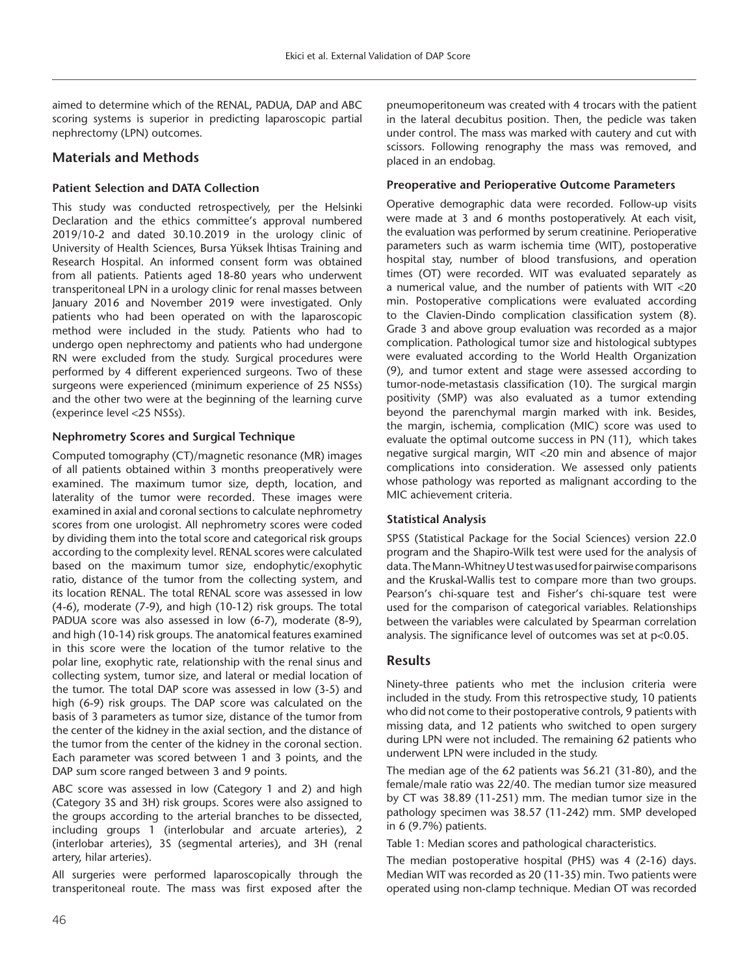aimed to determine which of the RENAL, PADUA, DAP and ABC scoring systems is superior in predicting laparoscopic partial nephrectomy (LPN) outcomes.

# **Materials and Methods**

## **Patient Selection and DATA Collection**

This study was conducted retrospectively, per the Helsinki Declaration and the ethics committee's approval numbered 2019/10-2 and dated 30.10.2019 in the urology clinic of University of Health Sciences, Bursa Yüksek İhtisas Training and Research Hospital. An informed consent form was obtained from all patients. Patients aged 18-80 years who underwent transperitoneal LPN in a urology clinic for renal masses between January 2016 and November 2019 were investigated. Only patients who had been operated on with the laparoscopic method were included in the study. Patients who had to undergo open nephrectomy and patients who had undergone RN were excluded from the study. Surgical procedures were performed by 4 different experienced surgeons. Two of these surgeons were experienced (minimum experience of 25 NSSs) and the other two were at the beginning of the learning curve (experince level <25 NSSs).

## **Nephrometry Scores and Surgical Technique**

Computed tomography (CT)/magnetic resonance (MR) images of all patients obtained within 3 months preoperatively were examined. The maximum tumor size, depth, location, and laterality of the tumor were recorded. These images were examined in axial and coronal sections to calculate nephrometry scores from one urologist. All nephrometry scores were coded by dividing them into the total score and categorical risk groups according to the complexity level. RENAL scores were calculated based on the maximum tumor size, endophytic/exophytic ratio, distance of the tumor from the collecting system, and its location RENAL. The total RENAL score was assessed in low (4-6), moderate (7-9), and high (10-12) risk groups. The total PADUA score was also assessed in low (6-7), moderate (8-9), and high (10-14) risk groups. The anatomical features examined in this score were the location of the tumor relative to the polar line, exophytic rate, relationship with the renal sinus and collecting system, tumor size, and lateral or medial location of the tumor. The total DAP score was assessed in low (3-5) and high (6-9) risk groups. The DAP score was calculated on the basis of 3 parameters as tumor size, distance of the tumor from the center of the kidney in the axial section, and the distance of the tumor from the center of the kidney in the coronal section. Each parameter was scored between 1 and 3 points, and the DAP sum score ranged between 3 and 9 points.

ABC score was assessed in low (Category 1 and 2) and high (Category 3S and 3H) risk groups. Scores were also assigned to the groups according to the arterial branches to be dissected, including groups 1 (interlobular and arcuate arteries), 2 (interlobar arteries), 3S (segmental arteries), and 3H (renal artery, hilar arteries).

All surgeries were performed laparoscopically through the transperitoneal route. The mass was first exposed after the

pneumoperitoneum was created with 4 trocars with the patient in the lateral decubitus position. Then, the pedicle was taken under control. The mass was marked with cautery and cut with scissors. Following renography the mass was removed, and placed in an endobag.

## **Preoperative and Perioperative Outcome Parameters**

Operative demographic data were recorded. Follow-up visits were made at 3 and 6 months postoperatively. At each visit, the evaluation was performed by serum creatinine. Perioperative parameters such as warm ischemia time (WIT), postoperative hospital stay, number of blood transfusions, and operation times (OT) were recorded. WIT was evaluated separately as a numerical value, and the number of patients with WIT <20 min. Postoperative complications were evaluated according to the Clavien-Dindo complication classification system (8). Grade 3 and above group evaluation was recorded as a major complication. Pathological tumor size and histological subtypes were evaluated according to the World Health Organization (9), and tumor extent and stage were assessed according to tumor-node-metastasis classification (10). The surgical margin positivity (SMP) was also evaluated as a tumor extending beyond the parenchymal margin marked with ink. Besides, the margin, ischemia, complication (MIC) score was used to evaluate the optimal outcome success in PN (11), which takes negative surgical margin, WIT <20 min and absence of major complications into consideration. We assessed only patients whose pathology was reported as malignant according to the MIC achievement criteria.

## **Statistical Analysis**

SPSS (Statistical Package for the Social Sciences) version 22.0 program and the Shapiro-Wilk test were used for the analysis of data. The Mann-Whitney U test was used for pairwise comparisons and the Kruskal-Wallis test to compare more than two groups. Pearson's chi-square test and Fisher's chi-square test were used for the comparison of categorical variables. Relationships between the variables were calculated by Spearman correlation analysis. The significance level of outcomes was set at p<0.05.

# **Results**

Ninety-three patients who met the inclusion criteria were included in the study. From this retrospective study, 10 patients who did not come to their postoperative controls, 9 patients with missing data, and 12 patients who switched to open surgery during LPN were not included. The remaining 62 patients who underwent LPN were included in the study.

The median age of the 62 patients was 56.21 (31-80), and the female/male ratio was 22/40. The median tumor size measured by CT was 38.89 (11-251) mm. The median tumor size in the pathology specimen was 38.57 (11-242) mm. SMP developed in 6 (9.7%) patients.

Table 1: Median scores and pathological characteristics.

The median postoperative hospital (PHS) was 4 (2-16) days. Median WIT was recorded as 20 (11-35) min. Two patients were operated using non-clamp technique. Median OT was recorded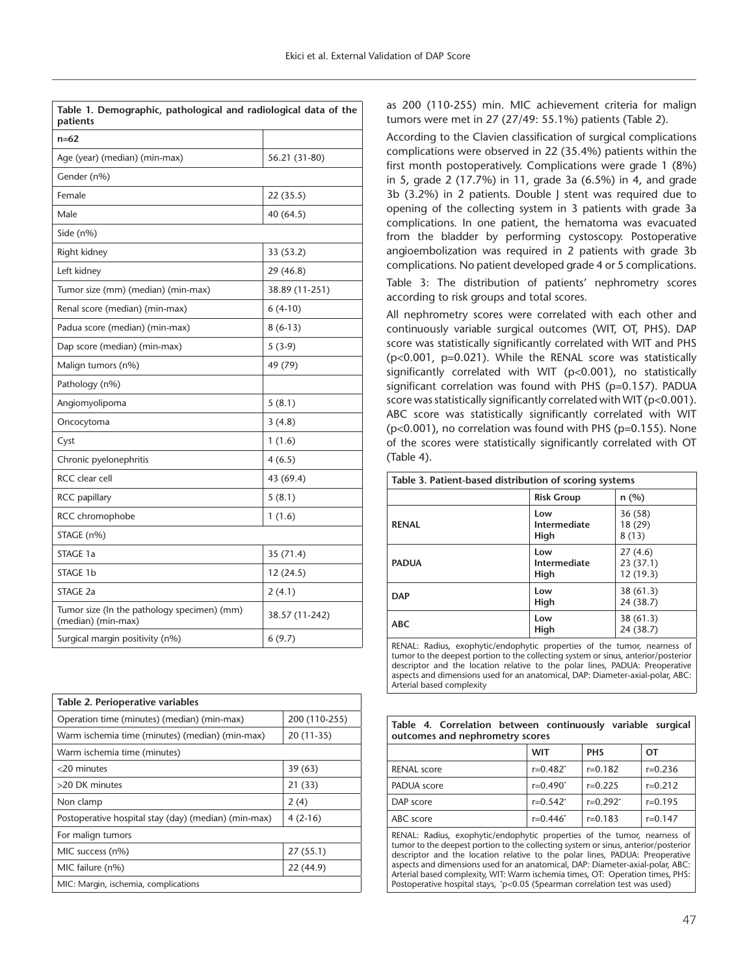| Table 1. Demographic, pathological and radiological data of the<br>patients |                |
|-----------------------------------------------------------------------------|----------------|
| $n=62$                                                                      |                |
| Age (year) (median) (min-max)                                               | 56.21 (31-80)  |
| Gender (n%)                                                                 |                |
| Female                                                                      | 22 (35.5)      |
| Male                                                                        | 40 (64.5)      |
| Side (n%)                                                                   |                |
| Right kidney                                                                | 33 (53.2)      |
| Left kidney                                                                 | 29 (46.8)      |
| Tumor size (mm) (median) (min-max)                                          | 38.89 (11-251) |
| Renal score (median) (min-max)                                              | $6(4-10)$      |
| Padua score (median) (min-max)                                              | $8(6-13)$      |
| Dap score (median) (min-max)                                                | $5(3-9)$       |
| Malign tumors (n%)                                                          | 49 (79)        |
| Pathology (n%)                                                              |                |
| Angiomyolipoma                                                              | 5(8.1)         |
| Oncocytoma                                                                  | 3(4.8)         |
| Cyst                                                                        | 1(1.6)         |
| Chronic pyelonephritis                                                      | 4(6.5)         |
| RCC clear cell                                                              | 43 (69.4)      |
| RCC papillary                                                               | 5(8.1)         |
| RCC chromophobe                                                             | 1(1.6)         |
| STAGE (n%)                                                                  |                |
| STAGE 1a                                                                    | 35 (71.4)      |
| STAGE 1b                                                                    | 12 (24.5)      |
| STAGE 2a                                                                    | 2(4.1)         |
| Tumor size (In the pathology specimen) (mm)<br>(median) (min-max)           | 38.57 (11-242) |
| Surgical margin positivity (n%)                                             | 6(9.7)         |

| Table 2. Perioperative variables                     |               |
|------------------------------------------------------|---------------|
| Operation time (minutes) (median) (min-max)          | 200 (110-255) |
| Warm ischemia time (minutes) (median) (min-max)      | $20(11-35)$   |
| Warm ischemia time (minutes)                         |               |
| <20 minutes                                          | 39(63)        |
| >20 DK minutes                                       | 21(33)        |
| Non clamp                                            | 2(4)          |
| Postoperative hospital stay (day) (median) (min-max) | $4(2-16)$     |
| For malign tumors                                    |               |
| MIC success (n%)                                     | 27(55.1)      |
| MIC failure (n%)                                     | 22(44.9)      |
| MIC: Margin, ischemia, complications                 |               |

as 200 (110-255) min. MIC achievement criteria for malign tumors were met in 27 (27/49: 55.1%) patients (Table 2).

According to the Clavien classification of surgical complications complications were observed in 22 (35.4%) patients within the first month postoperatively. Complications were grade 1 (8%) in 5, grade 2 (17.7%) in 11, grade 3a (6.5%) in 4, and grade 3b (3.2%) in 2 patients. Double J stent was required due to opening of the collecting system in 3 patients with grade 3a complications. In one patient, the hematoma was evacuated from the bladder by performing cystoscopy. Postoperative angioembolization was required in 2 patients with grade 3b complications. No patient developed grade 4 or 5 complications.

Table 3: The distribution of patients' nephrometry scores according to risk groups and total scores.

All nephrometry scores were correlated with each other and continuously variable surgical outcomes (WIT, OT, PHS). DAP score was statistically significantly correlated with WIT and PHS (p<0.001, p=0.021). While the RENAL score was statistically significantly correlated with WIT (p<0.001), no statistically significant correlation was found with PHS (p=0.157). PADUA score was statistically significantly correlated with WIT (p<0.001). ABC score was statistically significantly correlated with WIT  $(p<0.001)$ , no correlation was found with PHS ( $p=0.155$ ). None of the scores were statistically significantly correlated with OT (Table 4).

| Table 3. Patient-based distribution of scoring systems |                             |                                 |
|--------------------------------------------------------|-----------------------------|---------------------------------|
|                                                        | <b>Risk Group</b>           | n(%)                            |
| <b>RENAL</b>                                           | Low<br>Intermediate<br>High | 36(58)<br>18 (29)<br>8(13)      |
| <b>PADUA</b>                                           | Low<br>Intermediate<br>High | 27(4.6)<br>23(37.1)<br>12(19.3) |
| <b>DAP</b>                                             | Low<br>High                 | 38(61.3)<br>24 (38.7)           |
| <b>ABC</b>                                             | Low<br>High                 | 38(61.3)<br>24(38.7)            |
| <b>PPS F F</b><br>.                                    | $\sim$ $\sim$ $\sim$        |                                 |

RENAL: Radius, exophytic/endophytic properties of the tumor, nearness of tumor to the deepest portion to the collecting system or sinus, anterior/posterior descriptor and the location relative to the polar lines, PADUA: Preoperative aspects and dimensions used for an anatomical, DAP: Diameter-axial-polar, ABC: Arterial based complexity

|  |                                 | Table 4. Correlation between continuously variable surgical |  |
|--|---------------------------------|-------------------------------------------------------------|--|
|  | outcomes and nephrometry scores |                                                             |  |

|                    | <b>WIT</b>  | <b>PHS</b>    | от          |
|--------------------|-------------|---------------|-------------|
| <b>RENAL</b> score | $r=0.482^*$ | $r=0.182$     | $r=0.236$   |
| PADUA score        | $r=0.490^*$ | $r=0.225$     | $r=0.212$   |
| DAP score          | $r=0.542^*$ | $r=0.292^{*}$ | $r=0.195$   |
| ABC score          | $r=0.446^*$ | $r=0.183$     | $r = 0.147$ |
|                    |             |               |             |

RENAL: Radius, exophytic/endophytic properties of the tumor, nearness of tumor to the deepest portion to the collecting system or sinus, anterior/posterior descriptor and the location relative to the polar lines, PADUA: Preoperative aspects and dimensions used for an anatomical, DAP: Diameter-axial-polar, ABC: Arterial based complexity, WIT: Warm ischemia times, OT: Operation times, PHS: Postoperative hospital stays, \*p<0.05 (Spearman correlation test was used)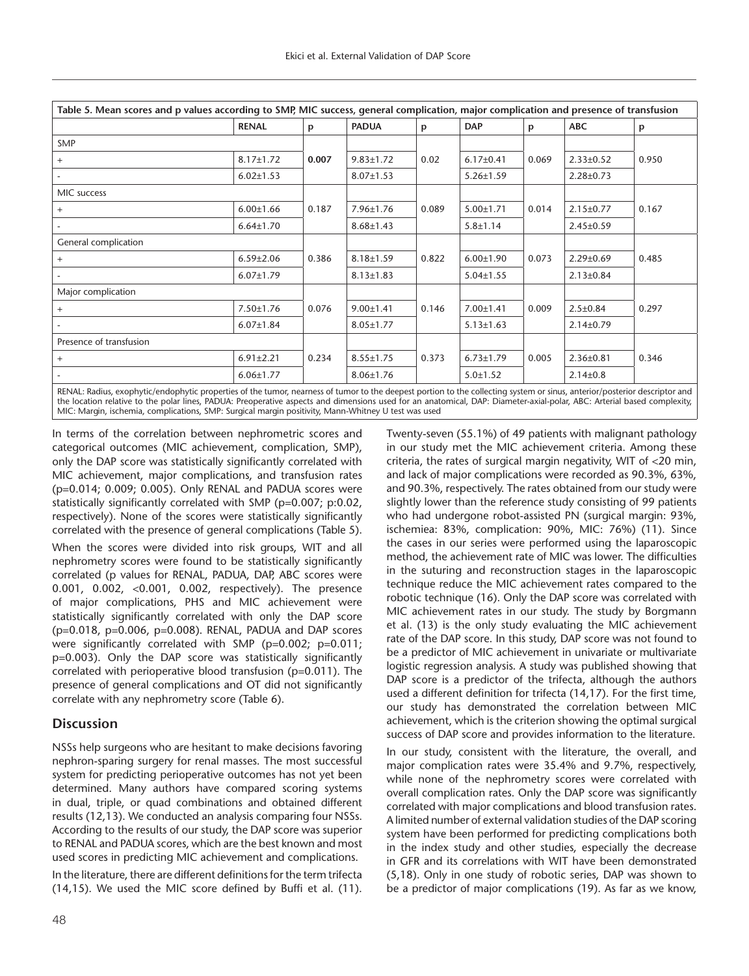| Table 5. Mean scores and p values according to SMP, MIC success, general complication, major complication and presence of transfusion |                 |       |                 |       |                 |       |                 |       |
|---------------------------------------------------------------------------------------------------------------------------------------|-----------------|-------|-----------------|-------|-----------------|-------|-----------------|-------|
|                                                                                                                                       | <b>RENAL</b>    | p     | <b>PADUA</b>    | р     | <b>DAP</b>      | p     | <b>ABC</b>      | p     |
| SMP                                                                                                                                   |                 |       |                 |       |                 |       |                 |       |
| $+$                                                                                                                                   | $8.17 \pm 1.72$ | 0.007 | $9.83 \pm 1.72$ | 0.02  | $6.17 \pm 0.41$ | 0.069 | $2.33 \pm 0.52$ | 0.950 |
|                                                                                                                                       | $6.02 \pm 1.53$ |       | $8.07 \pm 1.53$ |       | $5.26 \pm 1.59$ |       | $2.28 \pm 0.73$ |       |
| MIC success                                                                                                                           |                 |       |                 |       |                 |       |                 |       |
| $+$                                                                                                                                   | $6.00 \pm 1.66$ | 0.187 | $7.96 \pm 1.76$ | 0.089 | $5.00 \pm 1.71$ | 0.014 | $2.15 \pm 0.77$ | 0.167 |
|                                                                                                                                       | $6.64 \pm 1.70$ |       | $8.68 \pm 1.43$ |       | $5.8 \pm 1.14$  |       | $2.45 \pm 0.59$ |       |
| General complication                                                                                                                  |                 |       |                 |       |                 |       |                 |       |
| $+$                                                                                                                                   | $6.59 \pm 2.06$ | 0.386 | $8.18 \pm 1.59$ | 0.822 | $6.00 \pm 1.90$ | 0.073 | $2.29 \pm 0.69$ | 0.485 |
|                                                                                                                                       | $6.07 \pm 1.79$ |       | $8.13 \pm 1.83$ |       | $5.04 \pm 1.55$ |       | $2.13 \pm 0.84$ |       |
| Major complication                                                                                                                    |                 |       |                 |       |                 |       |                 |       |
| $+$                                                                                                                                   | $7.50 \pm 1.76$ | 0.076 | $9.00 \pm 1.41$ | 0.146 | $7.00 \pm 1.41$ | 0.009 | $2.5 \pm 0.84$  | 0.297 |
|                                                                                                                                       | $6.07 \pm 1.84$ |       | $8.05 \pm 1.77$ |       | $5.13 \pm 1.63$ |       | $2.14 \pm 0.79$ |       |
| Presence of transfusion                                                                                                               |                 |       |                 |       |                 |       |                 |       |
| $+$                                                                                                                                   | $6.91 \pm 2.21$ | 0.234 | $8.55 \pm 1.75$ | 0.373 | $6.73 \pm 1.79$ | 0.005 | $2.36 \pm 0.81$ | 0.346 |
|                                                                                                                                       | $6.06 \pm 1.77$ |       | $8.06 \pm 1.76$ |       | $5.0 \pm 1.52$  |       | $2.14 \pm 0.8$  |       |

RENAL: Radius, exophytic/endophytic properties of the tumor, nearness of tumor to the deepest portion to the collecting system or sinus, anterior/posterior descriptor and the location relative to the polar lines, PADUA: Preoperative aspects and dimensions used for an anatomical, DAP: Diameter-axial-polar, ABC: Arterial based complexity, MIC: Margin, ischemia, complications, SMP: Surgical margin positivity, Mann-Whitney U test was used

In terms of the correlation between nephrometric scores and categorical outcomes (MIC achievement, complication, SMP), only the DAP score was statistically significantly correlated with MIC achievement, major complications, and transfusion rates (p=0.014; 0.009; 0.005). Only RENAL and PADUA scores were statistically significantly correlated with SMP (p=0.007; p:0.02, respectively). None of the scores were statistically significantly correlated with the presence of general complications (Table 5).

When the scores were divided into risk groups, WIT and all nephrometry scores were found to be statistically significantly correlated (p values for RENAL, PADUA, DAP, ABC scores were 0.001, 0.002, <0.001, 0.002, respectively). The presence of major complications, PHS and MIC achievement were statistically significantly correlated with only the DAP score (p=0.018, p=0.006, p=0.008). RENAL, PADUA and DAP scores were significantly correlated with SMP (p=0.002; p=0.011; p=0.003). Only the DAP score was statistically significantly correlated with perioperative blood transfusion (p=0.011). The presence of general complications and OT did not significantly correlate with any nephrometry score (Table 6).

# **Discussion**

NSSs help surgeons who are hesitant to make decisions favoring nephron-sparing surgery for renal masses. The most successful system for predicting perioperative outcomes has not yet been determined. Many authors have compared scoring systems in dual, triple, or quad combinations and obtained different results (12,13). We conducted an analysis comparing four NSSs. According to the results of our study, the DAP score was superior to RENAL and PADUA scores, which are the best known and most used scores in predicting MIC achievement and complications.

In the literature, there are different definitions for the term trifecta (14,15). We used the MIC score defined by Buffi et al. (11). Twenty-seven (55.1%) of 49 patients with malignant pathology in our study met the MIC achievement criteria. Among these criteria, the rates of surgical margin negativity, WIT of <20 min, and lack of major complications were recorded as 90.3%, 63%, and 90.3%, respectively. The rates obtained from our study were slightly lower than the reference study consisting of 99 patients who had undergone robot-assisted PN (surgical margin: 93%, ischemiea: 83%, complication: 90%, MIC: 76%) (11). Since the cases in our series were performed using the laparoscopic method, the achievement rate of MIC was lower. The difficulties in the suturing and reconstruction stages in the laparoscopic technique reduce the MIC achievement rates compared to the robotic technique (16). Only the DAP score was correlated with MIC achievement rates in our study. The study by Borgmann et al. (13) is the only study evaluating the MIC achievement rate of the DAP score. In this study, DAP score was not found to be a predictor of MIC achievement in univariate or multivariate logistic regression analysis. A study was published showing that DAP score is a predictor of the trifecta, although the authors used a different definition for trifecta (14,17). For the first time, our study has demonstrated the correlation between MIC achievement, which is the criterion showing the optimal surgical success of DAP score and provides information to the literature.

In our study, consistent with the literature, the overall, and major complication rates were 35.4% and 9.7%, respectively, while none of the nephrometry scores were correlated with overall complication rates. Only the DAP score was significantly correlated with major complications and blood transfusion rates. A limited number of external validation studies of the DAP scoring system have been performed for predicting complications both in the index study and other studies, especially the decrease in GFR and its correlations with WIT have been demonstrated (5,18). Only in one study of robotic series, DAP was shown to be a predictor of major complications (19). As far as we know,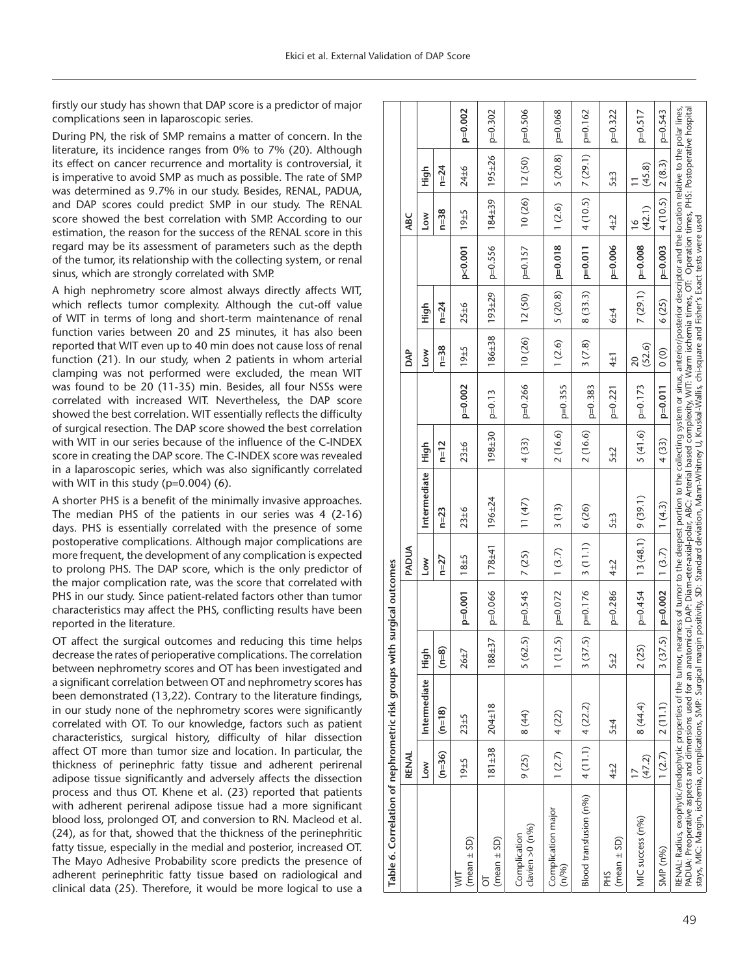firstly our study has shown that DAP score is a predictor of major complications seen in laparoscopic series.

During PN, the risk of SMP remains a matter of concern. In the literature, its incidence ranges from 0% to 7% (20). Although its effect on cancer recurrence and mortality is controversial, it is imperative to avoid SMP as much as possible. The rate of SMP was determined as 9.7% in our study. Besides, RENAL, PADUA, and DAP scores could predict SMP in our study. The RENAL score showed the best correlation with SMP. According to our estimation, the reason for the success of the RENAL score in this regard may be its assessment of parameters such as the depth of the tumor, its relationship with the collecting system, or renal sinus, which are strongly correlated with SMP.

A high nephrometry score almost always directly affects WIT, which reflects tumor complexity. Although the cut-off value of WIT in terms of long and short-term maintenance of renal function varies between 20 and 25 minutes, it has also been reported that WIT even up to 40 min does not cause loss of renal function (21). In our study, when 2 patients in whom arterial clamping was not performed were excluded, the mean WIT was found to be 20 (11-35) min. Besides, all four NSSs were correlated with increased WIT. Nevertheless, the DAP score showed the best correlation. WIT essentially reflects the difficulty of surgical resection. The DAP score showed the best correlation with WIT in our series because of the influence of the C-INDEX score in creating the DAP score. The C-INDEX score was revealed in a laparoscopic series, which was also significantly correlated with WIT in this study (p=0.004) (6).

A shorter PHS is a benefit of the minimally invasive approaches. The median PHS of the patients in our series was 4 (2-16) days. PHS is essentially correlated with the presence of some postoperative complications. Although major complications are more frequent, the development of any complication is expected to prolong PHS. The DAP score, which is the only predictor of the major complication rate, was the score that correlated with PHS in our study. Since patient-related factors other than tumor characteristics may affect the PHS, conflicting results have been reported in the literature.

OT affect the surgical outcomes and reducing this time helps decrease the rates of perioperative complications. The correlation between nephrometry scores and OT has been investigated and a significant correlation between OT and nephrometry scores has been demonstrated (13,22). Contrary to the literature findings, in our study none of the nephrometry scores were significantly correlated with OT. To our knowledge, factors such as patient characteristics, surgical history, difficulty of hilar dissection affect OT more than tumor size and location. In particular, the thickness of perinephric fatty tissue and adherent perirenal adipose tissue significantly and adversely affects the dissection process and thus OT. Khene et al. (23) reported that patients with adherent perirenal adipose tissue had a more significant blood loss, prolonged OT, and conversion to RN. Macleod et al. (24), as for that, showed that the thickness of the perinephritic fatty tissue, especially in the medial and posterior, increased OT. The Mayo Adhesive Probability score predicts the presence of adherent perinephritic fatty tissue based on radiological and clinical data (25). Therefore, it would be more logical to use a

| Table 6. Correlation of nephrometric risk groups with                                                                                                                                                                                                                                                                                                                                                                                                                                                                                                                                                                    |                 |              |          | surgical outcomes      |            |              |                     |           |                           |            |            |                         |         |           |
|--------------------------------------------------------------------------------------------------------------------------------------------------------------------------------------------------------------------------------------------------------------------------------------------------------------------------------------------------------------------------------------------------------------------------------------------------------------------------------------------------------------------------------------------------------------------------------------------------------------------------|-----------------|--------------|----------|------------------------|------------|--------------|---------------------|-----------|---------------------------|------------|------------|-------------------------|---------|-----------|
|                                                                                                                                                                                                                                                                                                                                                                                                                                                                                                                                                                                                                          | RENAL           |              |          |                        | PADUA      |              |                     |           | <b>DAP</b>                |            |            | ABC                     |         |           |
|                                                                                                                                                                                                                                                                                                                                                                                                                                                                                                                                                                                                                          | Low             | Intermediate | High     |                        | Low        | Intermediate | High                |           | <b>No7</b>                | High       |            | <b>NO7</b>              | High    |           |
|                                                                                                                                                                                                                                                                                                                                                                                                                                                                                                                                                                                                                          | $(n=36)$        | $(n=18)$     | $(n=8)$  |                        | $n=27$     | $n=23$       | $n=12$              |           | $n=38$                    | $n = 24$   |            | $n = 38$                | $n=24$  |           |
| (mean ± SD)<br>$\overline{\mathbb{W}}$                                                                                                                                                                                                                                                                                                                                                                                                                                                                                                                                                                                   | 19±5            | $23 + 5$     | $26 + 7$ | $p=0.001$              | $18 + 5$   | 23±6         | $23 + 6$            | $p=0.002$ | 19±5                      | $25 \pm 6$ | p < 0.001  | $79 + 5$                | 24±6    | $p=0.002$ |
| $(mean \pm SD)$<br>5                                                                                                                                                                                                                                                                                                                                                                                                                                                                                                                                                                                                     | $181 + 38$      | $204 \pm 18$ | 188±37   | $p=0.066$              | $178 + 41$ | 196±24       | 198±30              | $p=0.13$  | 186±38                    | 193±29     | $p=0.556$  | 184±39                  | 195±26  | $p=0.302$ |
| clavien $>0$ (n%)<br>Complication                                                                                                                                                                                                                                                                                                                                                                                                                                                                                                                                                                                        | 9(25)           | 8 (44)       |          | $5(62.5)$   p=0.545    | 7(25)      | 11(47)       | 4 (33)              | $p=0.266$ | $10(26)$   12(50)         |            | p=0.157    | $10(26)$ 12(50)         |         | $p=0.506$ |
| Complication major<br>(n/%)                                                                                                                                                                                                                                                                                                                                                                                                                                                                                                                                                                                              | 1(2.7)          | 4(22)        |          | 1 $(12.5)$ $p=0.072$   | 1(3.7)     | 3(13)        | 2(16.6)             | $p=0.355$ | 1(2.6)                    | 5(20.8)    | $ p=0.018$ | 1(2.6)                  | 5(20.8) | $p=0.068$ |
| Blood transfusion (n%)                                                                                                                                                                                                                                                                                                                                                                                                                                                                                                                                                                                                   | 4(11.1) 4(22.2) |              |          | 3 $(37.5)$   $p=0.176$ | 3(11.1)    | 6 (26)       | 2(16.6)             | $p=0.383$ | 3(7.8)                    | 8(33.3)    | $ p=0.011$ | 4(10.5)  7(29.1)        |         | p=0.162   |
| $(mean \pm SD)$<br>PH <sub>S</sub>                                                                                                                                                                                                                                                                                                                                                                                                                                                                                                                                                                                       | 4±2             | $5 + 4$      | 5±2      | $p=0.286$              | 4±2        | $5 + 3$      | $5 + 2$             | $p=0.221$ | $4\pm1$                   | $6 + 4$    | $p=0.006$  | $4\pm2$                 | $5 + 3$ | $p=0.322$ |
| MIC success (n%)                                                                                                                                                                                                                                                                                                                                                                                                                                                                                                                                                                                                         | (47.2)          | 8 (44.4)     | 2(25)    | $p=0.454$              | 13(48.1)   | 9(39.1)      | $5(41.6)$   p=0.173 |           | (52.6)<br>$\overline{20}$ | 7(29.1)    | $p=0.008$  | (42.1)<br>$\frac{8}{1}$ | (45.8)  | $p=0.517$ |
| SMP (n%)                                                                                                                                                                                                                                                                                                                                                                                                                                                                                                                                                                                                                 | 1(2.7)          | 2(11.1)      |          | $3(37.5)$ p=0.002      | 1(3.7)     | 1(4.3)       | 4(33)               | $p=0.011$ | $\frac{1}{2}$             | 6(25)      | $p=0.003$  | 4(10.5)                 | 2(8.3)  | $p=0.543$ |
| RENAL: Radius, exophytic/endophytic properties of the tumor, nearness of tumor to the deepest portion to the collecting system or sinus, anterior/posterior descriptor and the location relative to the polar lines,<br>PADUA: Preoperative aspects and dimensions used for an anatomical, DAP: Diam-eter-axial-polar, ABC: Arterial based complexity, WIT: Warm ischemia times, OT: Operation times, PHS: Postoperative hospital<br>stays, MIC: Margin, ischemia, complications, SMP: Surgical margin positivity, SD: Standard deviation, Mann-Whitney U, Kruskal-Wallis, chi-square and Fisher's Exact tests were used |                 |              |          |                        |            |              |                     |           |                           |            |            |                         |         |           |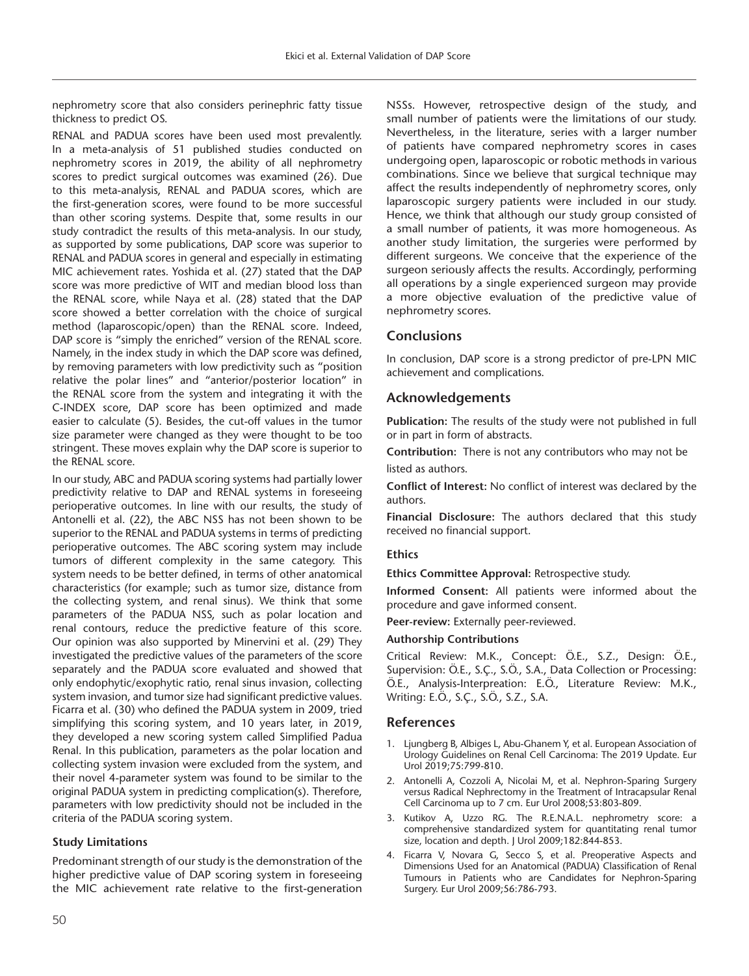nephrometry score that also considers perinephric fatty tissue thickness to predict OS.

RENAL and PADUA scores have been used most prevalently. In a meta-analysis of 51 published studies conducted on nephrometry scores in 2019, the ability of all nephrometry scores to predict surgical outcomes was examined (26). Due to this meta-analysis, RENAL and PADUA scores, which are the first-generation scores, were found to be more successful than other scoring systems. Despite that, some results in our study contradict the results of this meta-analysis. In our study, as supported by some publications, DAP score was superior to RENAL and PADUA scores in general and especially in estimating MIC achievement rates. Yoshida et al. (27) stated that the DAP score was more predictive of WIT and median blood loss than the RENAL score, while Naya et al. (28) stated that the DAP score showed a better correlation with the choice of surgical method (laparoscopic/open) than the RENAL score. Indeed, DAP score is "simply the enriched" version of the RENAL score. Namely, in the index study in which the DAP score was defined, by removing parameters with low predictivity such as "position relative the polar lines" and "anterior/posterior location" in the RENAL score from the system and integrating it with the C-INDEX score, DAP score has been optimized and made easier to calculate (5). Besides, the cut-off values in the tumor size parameter were changed as they were thought to be too stringent. These moves explain why the DAP score is superior to the RENAL score.

In our study, ABC and PADUA scoring systems had partially lower predictivity relative to DAP and RENAL systems in foreseeing perioperative outcomes. In line with our results, the study of Antonelli et al. (22), the ABC NSS has not been shown to be superior to the RENAL and PADUA systems in terms of predicting perioperative outcomes. The ABC scoring system may include tumors of different complexity in the same category. This system needs to be better defined, in terms of other anatomical characteristics (for example; such as tumor size, distance from the collecting system, and renal sinus). We think that some parameters of the PADUA NSS, such as polar location and renal contours, reduce the predictive feature of this score. Our opinion was also supported by Minervini et al. (29) They investigated the predictive values of the parameters of the score separately and the PADUA score evaluated and showed that only endophytic/exophytic ratio, renal sinus invasion, collecting system invasion, and tumor size had significant predictive values. Ficarra et al. (30) who defined the PADUA system in 2009, tried simplifying this scoring system, and 10 years later, in 2019, they developed a new scoring system called Simplified Padua Renal. In this publication, parameters as the polar location and collecting system invasion were excluded from the system, and their novel 4-parameter system was found to be similar to the original PADUA system in predicting complication(s). Therefore, parameters with low predictivity should not be included in the criteria of the PADUA scoring system.

## **Study Limitations**

Predominant strength of our study is the demonstration of the higher predictive value of DAP scoring system in foreseeing the MIC achievement rate relative to the first-generation

NSSs. However, retrospective design of the study, and small number of patients were the limitations of our study. Nevertheless, in the literature, series with a larger number of patients have compared nephrometry scores in cases undergoing open, laparoscopic or robotic methods in various combinations. Since we believe that surgical technique may affect the results independently of nephrometry scores, only laparoscopic surgery patients were included in our study. Hence, we think that although our study group consisted of a small number of patients, it was more homogeneous. As another study limitation, the surgeries were performed by different surgeons. We conceive that the experience of the surgeon seriously affects the results. Accordingly, performing all operations by a single experienced surgeon may provide a more objective evaluation of the predictive value of nephrometry scores.

## **Conclusions**

In conclusion, DAP score is a strong predictor of pre-LPN MIC achievement and complications.

## **Acknowledgements**

**Publication:** The results of the study were not published in full or in part in form of abstracts.

**Contribution:** There is not any contributors who may not be listed as authors.

**Conflict of Interest:** No conflict of interest was declared by the authors.

**Financial Disclosure:** The authors declared that this study received no financial support.

#### **Ethics**

**Ethics Committee Approval:** Retrospective study.

**Informed Consent:** All patients were informed about the procedure and gave informed consent.

**Peer-review:** Externally peer-reviewed.

#### **Authorship Contributions**

Critical Review: M.K., Concept: Ö.E., S.Z., Design: Ö.E., Supervision: Ö.E., S.Ç., S.Ö., S.A., Data Collection or Processing: Ö.E., Analysis-Interpreation: E.Ö., Literature Review: M.K., Writing: E.Ö., S.Ç., S.Ö., S.Z., S.A.

## **References**

- 1. Ljungberg B, Albiges L, Abu-Ghanem Y, et al. European Association of Urology Guidelines on Renal Cell Carcinoma: The 2019 Update. Eur Urol 2019;75:799-810.
- 2. Antonelli A, Cozzoli A, Nicolai M, et al. Nephron-Sparing Surgery versus Radical Nephrectomy in the Treatment of Intracapsular Renal Cell Carcinoma up to 7 cm. Eur Urol 2008;53:803-809.
- 3. Kutikov A, Uzzo RG. The R.E.N.A.L. nephrometry score: a comprehensive standardized system for quantitating renal tumor size, location and depth. J Urol 2009;182:844-853.
- 4. Ficarra V, Novara G, Secco S, et al. Preoperative Aspects and Dimensions Used for an Anatomical (PADUA) Classification of Renal Tumours in Patients who are Candidates for Nephron-Sparing Surgery. Eur Urol 2009;56:786-793.